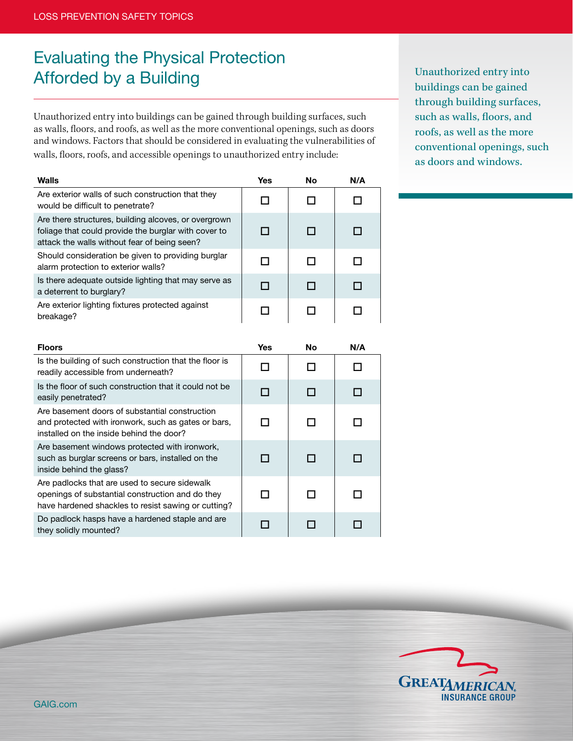## Evaluating the Physical Protection Afforded by a Building Unauthorized entry into Unauthorized entry into

Unauthorized entry into buildings can be gained through building surfaces, such as walls, floors, and roofs, as well as the more conventional openings, such as doors and windows. Factors that should be considered in evaluating the vulnerabilities of walls, floors, roofs, and accessible openings to unauthorized entry include:

buildings can be gained through building surfaces, such as walls, floors, and roofs, as well as the more conventional openings, such as doors and windows.

| <b>Walls</b>                                                                                                                                                 | <b>Yes</b> | <b>No</b> | N/A |
|--------------------------------------------------------------------------------------------------------------------------------------------------------------|------------|-----------|-----|
| Are exterior walls of such construction that they<br>would be difficult to penetrate?                                                                        | П          | П         |     |
| Are there structures, building alcoves, or overgrown<br>foliage that could provide the burglar with cover to<br>attack the walls without fear of being seen? | П          | П         | П   |
| Should consideration be given to providing burglar<br>alarm protection to exterior walls?                                                                    | п          | п         | п   |
| Is there adequate outside lighting that may serve as<br>a deterrent to burglary?                                                                             | п          | H         | LТ  |
| Are exterior lighting fixtures protected against<br>breakage?                                                                                                | □          | ΙI        | ΙI  |
| <b>Floors</b>                                                                                                                                                | <b>Yes</b> | No        | N/A |
| Is the building of such construction that the floor is<br>readily accessible from underneath?                                                                | ΙI         | ΙI        | ΙI  |
| Is the floor of such construction that it could not be<br>easily penetrated?                                                                                 | п          | П         | П   |
| Are basement doors of substantial construction<br>and protected with ironwork, such as gates or bars,<br>installed on the inside behind the door?            | П          | □         | Π   |
| Are basement windows protected with ironwork,<br>such as burglar screens or bars, installed on the<br>inside behind the glass?                               | П          | ┐         |     |
| Are padlocks that are used to secure sidewalk<br>openings of substantial construction and do they<br>have hardened shackles to resist sawing or cutting?     | п          | п         | П   |
| Do padlock hasps have a hardened staple and are<br>they solidly mounted?                                                                                     | □          | П         | П   |